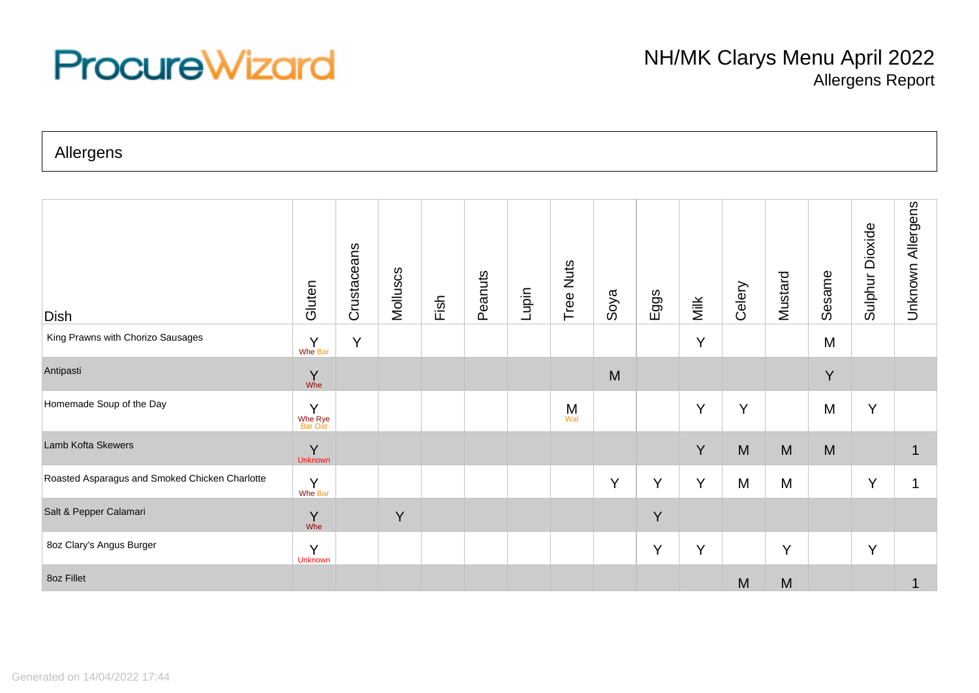## **ProcureWizard**

Allergens

| <b>Dish</b>                                    | Gluten                  | Crustaceans | Molluscs | Fish | Peanuts | Lupin | Tree Nuts | Soya | Eggs | Milk | Celery | Mustard | Sesame | Sulphur Dioxide | Allergens<br>Unknown |
|------------------------------------------------|-------------------------|-------------|----------|------|---------|-------|-----------|------|------|------|--------|---------|--------|-----------------|----------------------|
| King Prawns with Chorizo Sausages              | Y<br>Whe Bar            | Y           |          |      |         |       |           |      |      | Y    |        |         | M      |                 |                      |
| Antipasti                                      | Y<br>Whe                |             |          |      |         |       |           | M    |      |      |        |         | Y      |                 |                      |
| Homemade Soup of the Day                       | Y<br>Whe Rye<br>Bar Oat |             |          |      |         |       | M<br>Wal  |      |      | Y    | Y      |         | M      | Y               |                      |
| Lamb Kofta Skewers                             | Y<br>Unknown            |             |          |      |         |       |           |      |      | Y    | M      | M       | M      |                 |                      |
| Roasted Asparagus and Smoked Chicken Charlotte | Y<br>Whe Bar            |             |          |      |         |       |           | Y    | Y    | Y    | M      | M       |        | Y               |                      |
| Salt & Pepper Calamari                         | Y<br>Whe                |             | Y        |      |         |       |           |      | Y    |      |        |         |        |                 |                      |
| 8oz Clary's Angus Burger                       | Y<br><b>Unknown</b>     |             |          |      |         |       |           |      | Y    | Y    |        | Y       |        | Y               |                      |
| 8oz Fillet                                     |                         |             |          |      |         |       |           |      |      |      | M      | M       |        |                 |                      |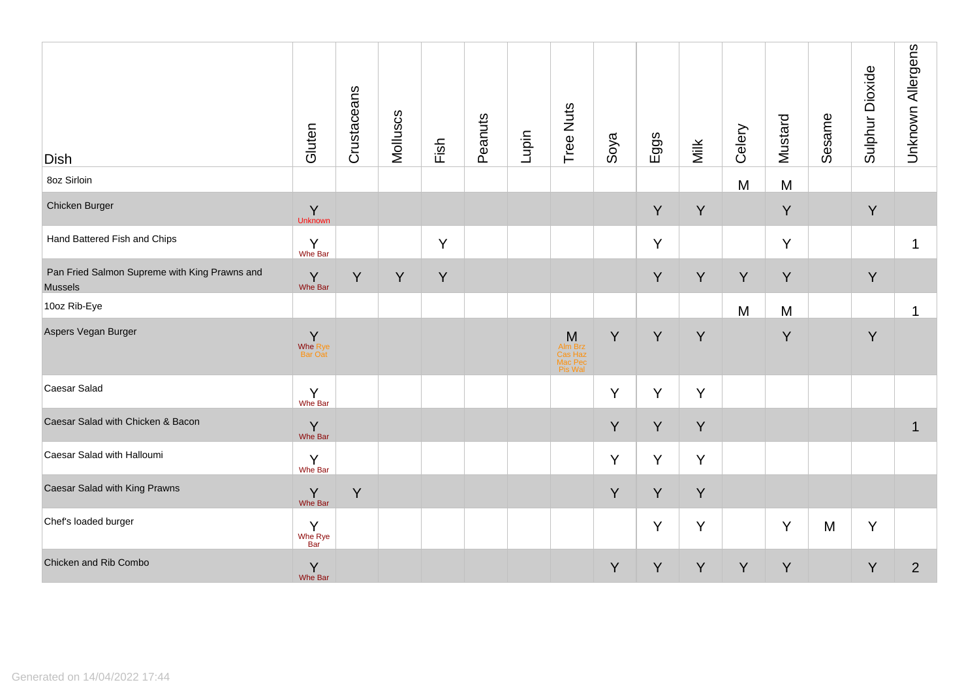| <b>Dish</b>                                                     | Gluten                  | Crustaceans | Molluscs | Fish | Peanuts | Lupin | Tree Nuts                                     | Soya | Eggs | Milk | Celery | Mustard | Sesame | Sulphur Dioxide | Unknown Allergens |
|-----------------------------------------------------------------|-------------------------|-------------|----------|------|---------|-------|-----------------------------------------------|------|------|------|--------|---------|--------|-----------------|-------------------|
| 8oz Sirloin                                                     |                         |             |          |      |         |       |                                               |      |      |      | M      | M       |        |                 |                   |
| Chicken Burger                                                  | Y<br>Unknown            |             |          |      |         |       |                                               |      | Y    | Y    |        | Y       |        | Y               |                   |
| Hand Battered Fish and Chips                                    | Y<br>Whe Bar            |             |          | Y    |         |       |                                               |      | Y    |      |        | Y       |        |                 | 1                 |
| Pan Fried Salmon Supreme with King Prawns and<br><b>Mussels</b> | $\gamma$ Whe Bar        | Y           | Y        | Y    |         |       |                                               |      | Y    | Y    | Y      | Y       |        | Y               |                   |
| 10oz Rib-Eye                                                    |                         |             |          |      |         |       |                                               |      |      |      | M      | M       |        |                 | $\mathbf{1}$      |
| Aspers Vegan Burger                                             | Y<br>Whe Rye<br>Bar Oat |             |          |      |         |       | M<br>Alm Brz<br>Cas Haz<br>Mac Pec<br>Pis Wal | Y    | Y    | Y    |        | Y       |        | Y               |                   |
| Caesar Salad                                                    | $Y$<br>Whe Bar          |             |          |      |         |       |                                               | Y    | Y    | Y    |        |         |        |                 |                   |
| Caesar Salad with Chicken & Bacon                               | $\sum_{\text{Whe Bar}}$ |             |          |      |         |       |                                               | Y    | Y    | Y    |        |         |        |                 | $\mathbf 1$       |
| Caesar Salad with Halloumi                                      | $Y$ Whe Bar             |             |          |      |         |       |                                               | Y    | Y    | Y    |        |         |        |                 |                   |
| Caesar Salad with King Prawns                                   | $\gamma$ Whe Bar        | Y           |          |      |         |       |                                               | Y    | Y    | Y    |        |         |        |                 |                   |
| Chef's loaded burger                                            | Y<br>Whe Rye<br>Bar     |             |          |      |         |       |                                               |      | Y    | Y    |        | Y       | M      | Y               |                   |
| Chicken and Rib Combo                                           | $\gamma$ Whe Bar        |             |          |      |         |       |                                               | Y    | Y    | Y    | Y      | Y       |        | Y               | $\overline{2}$    |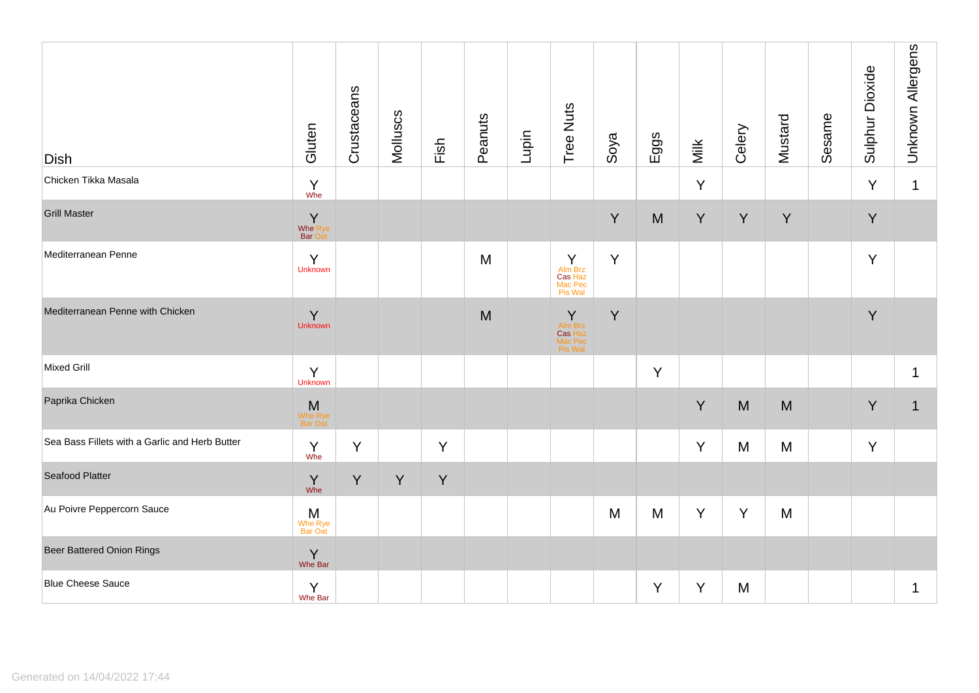| <b>Dish</b>                                    | Gluten                                        | Crustaceans | Molluscs | Fish | Peanuts | Lupin | Tree Nuts                                                                                                                | Soya | Eggs | Milk | Celery | Mustard | Sesame | Sulphur Dioxide | <b>Unknown Allergens</b> |
|------------------------------------------------|-----------------------------------------------|-------------|----------|------|---------|-------|--------------------------------------------------------------------------------------------------------------------------|------|------|------|--------|---------|--------|-----------------|--------------------------|
| Chicken Tikka Masala                           | $\begin{matrix} Y \\ \text{Whe} \end{matrix}$ |             |          |      |         |       |                                                                                                                          |      |      | Y    |        |         |        | Y               | $\mathbf 1$              |
| <b>Grill Master</b>                            | $\frac{1}{\sqrt{2}}$<br><b>Bar Oat</b>        |             |          |      |         |       |                                                                                                                          | Y    | M    | Y    | Y      | Y       |        | Y               |                          |
| Mediterranean Penne                            | Y<br>Unknown                                  |             |          |      | M       |       | $\begin{array}{c}\n\mathsf{A}\mathsf{Im}\,\mathsf{Brz} \\ \mathsf{Cas}\,\mathsf{Haz}\n\end{array}$<br>Mac Pec<br>Pis Wal | Y    |      |      |        |         |        | Y               |                          |
| Mediterranean Penne with Chicken               | Y<br>Unknown                                  |             |          |      | M       |       | <b>Y</b><br>Alm Brz<br>Cas Haz<br>Mac Pec<br>Pis Wal                                                                     | Y    |      |      |        |         |        | Y               |                          |
| Mixed Grill                                    | Y<br><b>Unknown</b>                           |             |          |      |         |       |                                                                                                                          |      | Y    |      |        |         |        |                 | 1                        |
| Paprika Chicken                                | <b>M</b><br>Whe Rye<br>Bar Oat                |             |          |      |         |       |                                                                                                                          |      |      | Y    | M      | M       |        | Y               | $\mathbf 1$              |
| Sea Bass Fillets with a Garlic and Herb Butter | $\begin{matrix} Y \\ \text{Whe} \end{matrix}$ | Y           |          | Y    |         |       |                                                                                                                          |      |      | Y    | M      | M       |        | Y               |                          |
| Seafood Platter                                | $Y$ whe                                       | Y           | Y        | Y    |         |       |                                                                                                                          |      |      |      |        |         |        |                 |                          |
| Au Poivre Peppercorn Sauce                     | M<br>Whe Rye<br>Bar Oat                       |             |          |      |         |       |                                                                                                                          | M    | M    | Υ    | Y      | M       |        |                 |                          |
| <b>Beer Battered Onion Rings</b>               | $\overline{Y}$<br>Whe Bar                     |             |          |      |         |       |                                                                                                                          |      |      |      |        |         |        |                 |                          |
| <b>Blue Cheese Sauce</b>                       | Y<br>Whe Bar                                  |             |          |      |         |       |                                                                                                                          |      | Y    | Y    | M      |         |        |                 | $\mathbf 1$              |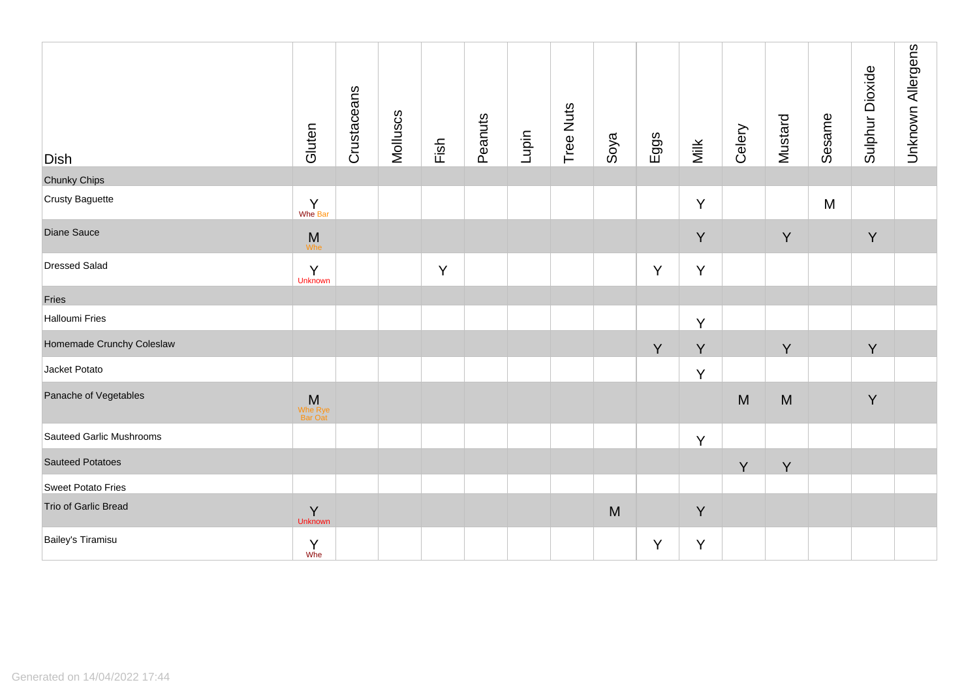| Dish                      | Gluten                         | Crustaceans | Molluscs | Fish | Peanuts | Lupin | Tree Nuts | Soya | Eggs | Milk | Celery | Mustard | Sesame | Sulphur Dioxide | Unknown Allergens |
|---------------------------|--------------------------------|-------------|----------|------|---------|-------|-----------|------|------|------|--------|---------|--------|-----------------|-------------------|
| <b>Chunky Chips</b>       |                                |             |          |      |         |       |           |      |      |      |        |         |        |                 |                   |
| Crusty Baguette           | $\sum_{\text{Whe Bar}}$        |             |          |      |         |       |           |      |      | Y    |        |         | M      |                 |                   |
| Diane Sauce               | $M_{\text{Whe}}$               |             |          |      |         |       |           |      |      | Y    |        | Y       |        | Y               |                   |
| <b>Dressed Salad</b>      | Y<br>Unknown                   |             |          | Y    |         |       |           |      | Y    | Y    |        |         |        |                 |                   |
| Fries                     |                                |             |          |      |         |       |           |      |      |      |        |         |        |                 |                   |
| <b>Halloumi Fries</b>     |                                |             |          |      |         |       |           |      |      | Y    |        |         |        |                 |                   |
| Homemade Crunchy Coleslaw |                                |             |          |      |         |       |           |      | Y    | Y    |        | Y       |        | Y               |                   |
| Jacket Potato             |                                |             |          |      |         |       |           |      |      | Y    |        |         |        |                 |                   |
| Panache of Vegetables     | <b>M</b><br>Whe Rye<br>Bar Oat |             |          |      |         |       |           |      |      |      | M      | M       |        | $\sf Y$         |                   |
| Sauteed Garlic Mushrooms  |                                |             |          |      |         |       |           |      |      | Y    |        |         |        |                 |                   |
| <b>Sauteed Potatoes</b>   |                                |             |          |      |         |       |           |      |      |      | Y      | Y       |        |                 |                   |
| Sweet Potato Fries        |                                |             |          |      |         |       |           |      |      |      |        |         |        |                 |                   |
| Trio of Garlic Bread      | Y<br>Unknown                   |             |          |      |         |       |           | M    |      | Y    |        |         |        |                 |                   |
| Bailey's Tiramisu         | $\Upsilon$<br>Whe              |             |          |      |         |       |           |      | Y    | Y    |        |         |        |                 |                   |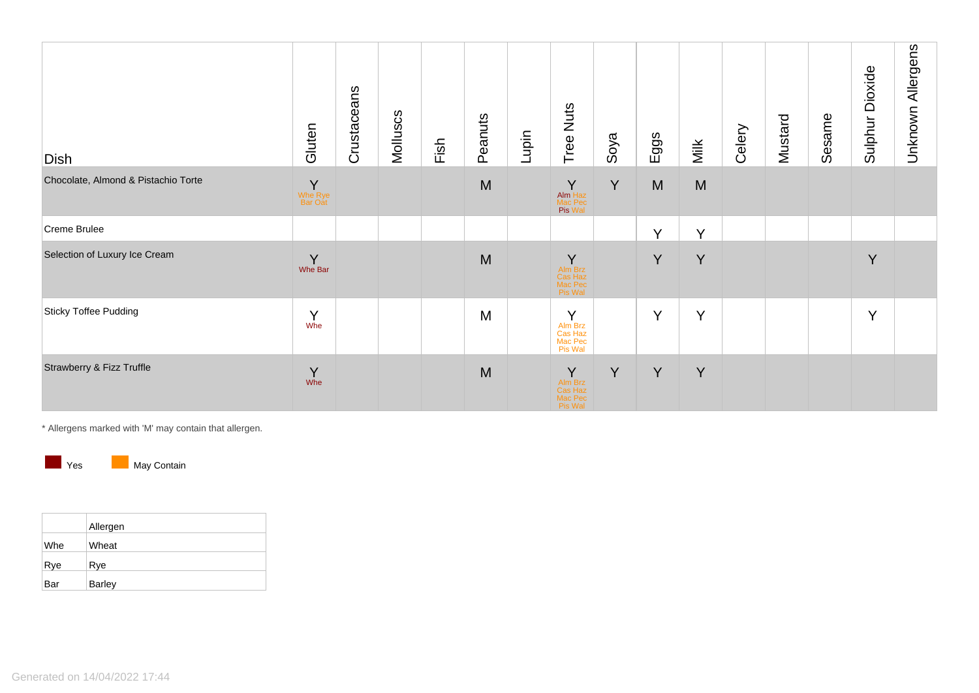| Dish                                | Gluten                        | Crustaceans | Molluscs | Fish | Peanuts | Lupin | Tree Nuts                                     | Soya | Eggs   | Milk   | Celery | Mustard | Sesame | Dioxide<br>Sulphur I | Unknown Allergens |
|-------------------------------------|-------------------------------|-------------|----------|------|---------|-------|-----------------------------------------------|------|--------|--------|--------|---------|--------|----------------------|-------------------|
| Chocolate, Almond & Pistachio Torte | $\sf Y$<br>Whe Rye<br>Bar Oat |             |          |      | M       |       | Y<br>Alm Haz<br>Mac Pec<br>Pis Wal            | Y    | M      | M      |        |         |        |                      |                   |
| Creme Brulee                        |                               |             |          |      |         |       |                                               |      | $\vee$ | $\vee$ |        |         |        |                      |                   |
| Selection of Luxury Ice Cream       | Y<br>Whe Bar                  |             |          |      | M       |       | Y<br>Alm Brz<br>Cas Haz<br>Mac Pec<br>Pis Wal |      | Y      | Y      |        |         |        | Y                    |                   |
| Sticky Toffee Pudding               | Y<br>Whe                      |             |          |      | M       |       | Y<br>Alm Brz<br>Cas Haz<br>Mac Pec<br>Pis Wal |      | Y      | Y      |        |         |        | Y                    |                   |
| Strawberry & Fizz Truffle           | Y<br>Whe                      |             |          |      | M       |       | Y<br>Alm Brz<br>Cas Haz<br>Mac Pec<br>Pis Wal | Y    | Y      | Y      |        |         |        |                      |                   |

\* Allergens marked with 'M' may contain that allergen.



|  | May Conta |
|--|-----------|
|  |           |

|     | Allergen      |
|-----|---------------|
| Whe | Wheat         |
| Rye | Rye           |
| Bar | <b>Barley</b> |